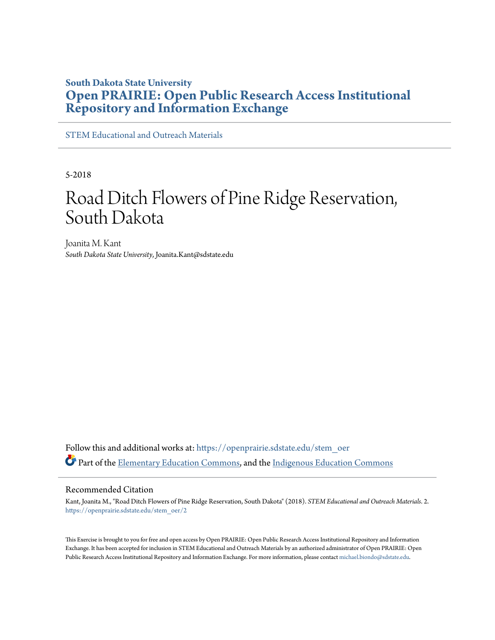# **South Dakota State University [Open PRAIRIE: Open Public Research Access Institutional](https://openprairie.sdstate.edu?utm_source=openprairie.sdstate.edu%2Fstem_oer%2F2&utm_medium=PDF&utm_campaign=PDFCoverPages) [Repository and Information Exchange](https://openprairie.sdstate.edu?utm_source=openprairie.sdstate.edu%2Fstem_oer%2F2&utm_medium=PDF&utm_campaign=PDFCoverPages)**

[STEM Educational and Outreach Materials](https://openprairie.sdstate.edu/stem_oer?utm_source=openprairie.sdstate.edu%2Fstem_oer%2F2&utm_medium=PDF&utm_campaign=PDFCoverPages)

5-2018

# Road Ditch Flowers of Pine Ridge Reservation, South Dakota

Joanita M. Kant *South Dakota State University*, Joanita.Kant@sdstate.edu

Follow this and additional works at: [https://openprairie.sdstate.edu/stem\\_oer](https://openprairie.sdstate.edu/stem_oer?utm_source=openprairie.sdstate.edu%2Fstem_oer%2F2&utm_medium=PDF&utm_campaign=PDFCoverPages) Part of the [Elementary Education Commons,](http://network.bepress.com/hgg/discipline/1378?utm_source=openprairie.sdstate.edu%2Fstem_oer%2F2&utm_medium=PDF&utm_campaign=PDFCoverPages) and the [Indigenous Education Commons](http://network.bepress.com/hgg/discipline/1379?utm_source=openprairie.sdstate.edu%2Fstem_oer%2F2&utm_medium=PDF&utm_campaign=PDFCoverPages)

#### Recommended Citation

Kant, Joanita M., "Road Ditch Flowers of Pine Ridge Reservation, South Dakota" (2018). *STEM Educational and Outreach Materials*. 2. [https://openprairie.sdstate.edu/stem\\_oer/2](https://openprairie.sdstate.edu/stem_oer/2?utm_source=openprairie.sdstate.edu%2Fstem_oer%2F2&utm_medium=PDF&utm_campaign=PDFCoverPages)

This Exercise is brought to you for free and open access by Open PRAIRIE: Open Public Research Access Institutional Repository and Information Exchange. It has been accepted for inclusion in STEM Educational and Outreach Materials by an authorized administrator of Open PRAIRIE: Open Public Research Access Institutional Repository and Information Exchange. For more information, please contact [michael.biondo@sdstate.edu](mailto:michael.biondo@sdstate.edu).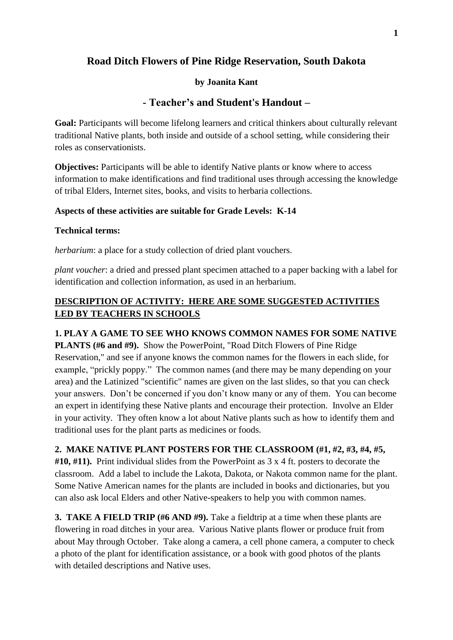# **Road Ditch Flowers of Pine Ridge Reservation, South Dakota**

#### **by Joanita Kant**

## **- Teacher's and Student's Handout –**

Goal: Participants will become lifelong learners and critical thinkers about culturally relevant traditional Native plants, both inside and outside of a school setting, while considering their roles as conservationists.

**Objectives:** Participants will be able to identify Native plants or know where to access information to make identifications and find traditional uses through accessing the knowledge of tribal Elders, Internet sites, books, and visits to herbaria collections.

#### **Aspects of these activities are suitable for Grade Levels: K-14**

#### **Technical terms:**

*herbarium*: a place for a study collection of dried plant vouchers.

*plant voucher*: a dried and pressed plant specimen attached to a paper backing with a label for identification and collection information, as used in an herbarium.

## **DESCRIPTION OF ACTIVITY: HERE ARE SOME SUGGESTED ACTIVITIES LED BY TEACHERS IN SCHOOLS**

## **1. PLAY A GAME TO SEE WHO KNOWS COMMON NAMES FOR SOME NATIVE**

**PLANTS (#6 and #9).** Show the PowerPoint, "Road Ditch Flowers of Pine Ridge Reservation," and see if anyone knows the common names for the flowers in each slide, for example, "prickly poppy." The common names (and there may be many depending on your area) and the Latinized "scientific" names are given on the last slides, so that you can check your answers. Don't be concerned if you don't know many or any of them. You can become an expert in identifying these Native plants and encourage their protection. Involve an Elder in your activity. They often know a lot about Native plants such as how to identify them and traditional uses for the plant parts as medicines or foods.

## **2. MAKE NATIVE PLANT POSTERS FOR THE CLASSROOM (#1, #2, #3, #4, #5,**

**#10, #11).** Print individual slides from the PowerPoint as 3 x 4 ft. posters to decorate the classroom. Add a label to include the Lakota, Dakota, or Nakota common name for the plant. Some Native American names for the plants are included in books and dictionaries, but you can also ask local Elders and other Native-speakers to help you with common names.

**3. TAKE A FIELD TRIP (#6 AND #9).** Take a fieldtrip at a time when these plants are flowering in road ditches in your area. Various Native plants flower or produce fruit from about May through October. Take along a camera, a cell phone camera, a computer to check a photo of the plant for identification assistance, or a book with good photos of the plants with detailed descriptions and Native uses.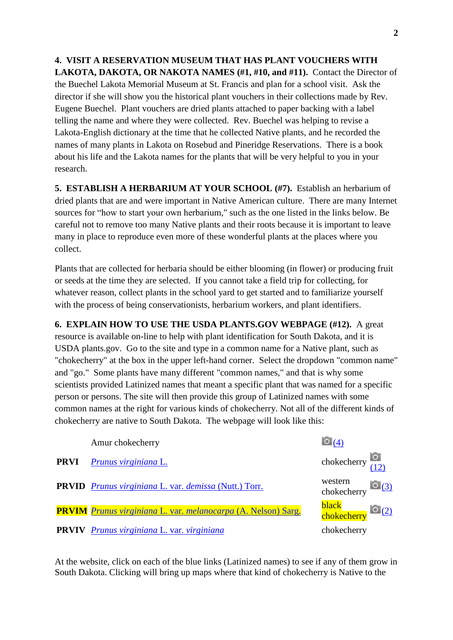**4. VISIT A RESERVATION MUSEUM THAT HAS PLANT VOUCHERS WITH LAKOTA, DAKOTA, OR NAKOTA NAMES (#1, #10, and #11).** Contact the Director of the Buechel Lakota Memorial Museum at St. Francis and plan for a school visit. Ask the director if she will show you the historical plant vouchers in their collections made by Rev. Eugene Buechel. Plant vouchers are dried plants attached to paper backing with a label telling the name and where they were collected. Rev. Buechel was helping to revise a Lakota-English dictionary at the time that he collected Native plants, and he recorded the names of many plants in Lakota on Rosebud and Pineridge Reservations. There is a book about his life and the Lakota names for the plants that will be very helpful to you in your research.

**5. ESTABLISH A HERBARIUM AT YOUR SCHOOL (#7).** Establish an herbarium of dried plants that are and were important in Native American culture. There are many Internet sources for "how to start your own herbarium," such as the one listed in the links below. Be careful not to remove too many Native plants and their roots because it is important to leave many in place to reproduce even more of these wonderful plants at the places where you collect.

Plants that are collected for herbaria should be either blooming (in flower) or producing fruit or seeds at the time they are selected. If you cannot take a field trip for collecting, for whatever reason, collect plants in the school yard to get started and to familiarize yourself with the process of being conservationists, herbarium workers, and plant identifiers.

**6. EXPLAIN HOW TO USE THE USDA PLANTS.GOV WEBPAGE (#12).** A great resource is available on-line to help with plant identification for South Dakota, and it is USDA plants.gov. Go to the site and type in a common name for a Native plant, such as "chokecherry" at the box in the upper left-hand corner. Select the dropdown "common name" and "go." Some plants have many different "common names," and that is why some scientists provided Latinized names that meant a specific plant that was named for a specific person or persons. The site will then provide this group of Latinized names with some common names at the right for various kinds of chokecherry. Not all of the different kinds of chokecherry are native to South Dakota. The webpage will look like this:

| Amur chokecherry                                                     | $\begin{bmatrix} 0 \\ 4 \end{bmatrix}$                |  |
|----------------------------------------------------------------------|-------------------------------------------------------|--|
| <b>PRVI</b> Prunus virginiana L.                                     | chokecherry $\begin{bmatrix} 0 \\ (12) \end{bmatrix}$ |  |
| <b>PRVID</b> Prunus virginiana L. var. demissa (Nutt.) Torr.         | western<br>chokecherry $\frac{10(3)}{2}$              |  |
| <b>PRVIM</b> Prunus virginiana L. var. melanocarpa (A. Nelson) Sarg. | black<br>chokecherry <sup>1</sup> 0 <sup>(2)</sup>    |  |
| <b>PRVIV</b> Prunus virginiana L. var. virginiana                    | chokecherry                                           |  |

At the website, click on each of the blue links (Latinized names) to see if any of them grow in South Dakota. Clicking will bring up maps where that kind of chokecherry is Native to the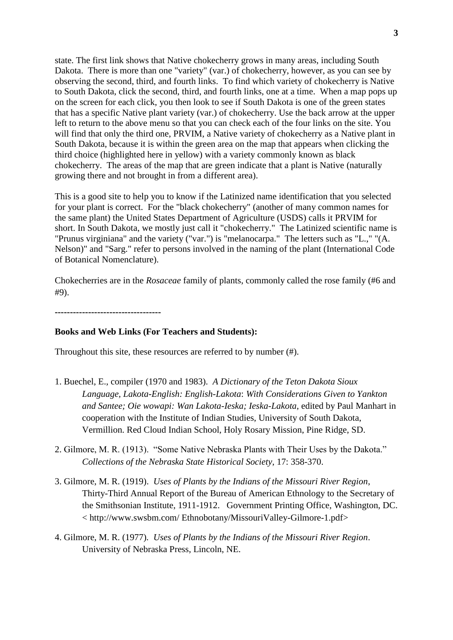state. The first link shows that Native chokecherry grows in many areas, including South Dakota. There is more than one "variety" (var.) of chokecherry, however, as you can see by observing the second, third, and fourth links. To find which variety of chokecherry is Native to South Dakota, click the second, third, and fourth links, one at a time. When a map pops up on the screen for each click, you then look to see if South Dakota is one of the green states that has a specific Native plant variety (var.) of chokecherry. Use the back arrow at the upper left to return to the above menu so that you can check each of the four links on the site. You will find that only the third one, PRVIM, a Native variety of chokecherry as a Native plant in South Dakota, because it is within the green area on the map that appears when clicking the third choice (highlighted here in yellow) with a variety commonly known as black chokecherry. The areas of the map that are green indicate that a plant is Native (naturally growing there and not brought in from a different area).

This is a good site to help you to know if the Latinized name identification that you selected for your plant is correct. For the "black chokecherry" (another of many common names for the same plant) the United States Department of Agriculture (USDS) calls it PRVIM for short. In South Dakota, we mostly just call it "chokecherry." The Latinized scientific name is "Prunus virginiana" and the variety ("var.") is "melanocarpa." The letters such as "L.," "(A. Nelson)" and "Sarg." refer to persons involved in the naming of the plant (International Code of Botanical Nomenclature).

Chokecherries are in the *Rosaceae* family of plants, commonly called the rose family (#6 and #9).

**-----------------------------------**

#### **Books and Web Links (For Teachers and Students):**

Throughout this site, these resources are referred to by number (#).

- 1. Buechel, E., compiler (1970 and 1983). *A Dictionary of the Teton Dakota Sioux Language, Lakota-English: English-Lakota*: *With Considerations Given to Yankton and Santee; Oie wowapi: Wan Lakota-Ieska; Ieska-Lakota*, edited by Paul Manhart in cooperation with the Institute of Indian Studies, University of South Dakota, Vermillion. Red Cloud Indian School, Holy Rosary Mission, Pine Ridge, SD.
- 2. Gilmore, M. R. (1913). "Some Native Nebraska Plants with Their Uses by the Dakota." *Collections of the Nebraska State Historical Society*, 17: 358-370.
- 3. Gilmore, M. R. (1919). *Uses of Plants by the Indians of the Missouri River Region*, Thirty-Third Annual Report of the Bureau of American Ethnology to the Secretary of the Smithsonian Institute, 1911-1912. Government Printing Office, Washington, DC. < http://www.swsbm.com/ Ethnobotany/MissouriValley-Gilmore-1.pdf>
- 4. Gilmore, M. R. (1977)*. Uses of Plants by the Indians of the Missouri River Region*. University of Nebraska Press, Lincoln, NE.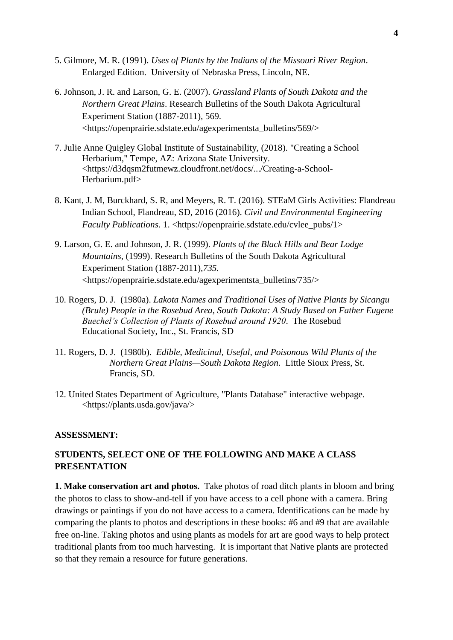- 5. Gilmore, M. R. (1991). *Uses of Plants by the Indians of the Missouri River Region*. Enlarged Edition. University of Nebraska Press, Lincoln, NE.
- 6. Johnson, J. R. and Larson, G. E. (2007). *Grassland Plants of South Dakota and the Northern Great Plains*. Research Bulletins of the South Dakota Agricultural Experiment Station (1887-2011)*,* 569. <https://openprairie.sdstate.edu/agexperimentsta\_bulletins/569/>
- 7. Julie Anne Quigley Global Institute of Sustainability, (2018). "Creating a School Herbarium," Tempe, AZ: Arizona State University. <https://d3dqsm2futmewz.cloudfront.net/docs/.../Creating-a-School-Herbarium.pdf>
- 8. Kant, J. M, Burckhard, S. R, and Meyers, R. T. (2016). STEaM Girls Activities: Flandreau Indian School, Flandreau, SD, 2016 (2016). *Civil and Environmental Engineering Faculty Publications.* 1. <https://openprairie.sdstate.edu/cvlee\_pubs/1>
- 9. Larson, G. E. and Johnson, J. R. (1999). *Plants of the Black Hills and Bear Lodge Mountains*, (1999). Research Bulletins of the South Dakota Agricultural Experiment Station (1887-2011)*,735.*  <https://openprairie.sdstate.edu/agexperimentsta\_bulletins/735/>
- 10. Rogers, D. J. (1980a). *Lakota Names and Traditional Uses of Native Plants by Sicangu (Brule) People in the Rosebud Area, South Dakota: A Study Based on Father Eugene Buechel's Collection of Plants of Rosebud around 1920*. The Rosebud Educational Society, Inc., St. Francis, SD
- 11. Rogers, D. J. (1980b). *Edible, Medicinal, Useful, and Poisonous Wild Plants of the Northern Great Plains—South Dakota Region*. Little Sioux Press, St. Francis, SD.
- 12. United States Department of Agriculture, "Plants Database" interactive webpage. <https://plants.usda.gov/java/>

#### **ASSESSMENT:**

## **STUDENTS, SELECT ONE OF THE FOLLOWING AND MAKE A CLASS PRESENTATION**

**1. Make conservation art and photos.** Take photos of road ditch plants in bloom and bring the photos to class to show-and-tell if you have access to a cell phone with a camera. Bring drawings or paintings if you do not have access to a camera. Identifications can be made by comparing the plants to photos and descriptions in these books: #6 and #9 that are available free on-line. Taking photos and using plants as models for art are good ways to help protect traditional plants from too much harvesting. It is important that Native plants are protected so that they remain a resource for future generations.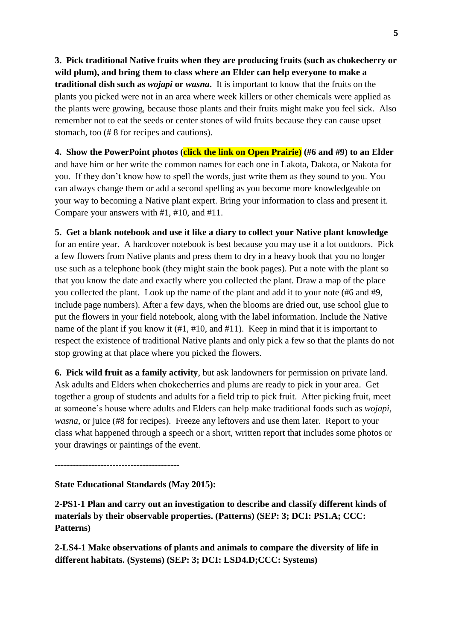**3. Pick traditional Native fruits when they are producing fruits (such as chokecherry or wild plum), and bring them to class where an Elder can help everyone to make a traditional dish such as** *wojapi* **or** *wasna***.** It is important to know that the fruits on the plants you picked were not in an area where week killers or other chemicals were applied as the plants were growing, because those plants and their fruits might make you feel sick. Also remember not to eat the seeds or center stones of wild fruits because they can cause upset stomach, too (# 8 for recipes and cautions).

**4. Show the PowerPoint photos (click the link on Open Prairie) (#6 and #9) to an Elder** and have him or her write the common names for each one in Lakota, Dakota, or Nakota for you. If they don't know how to spell the words, just write them as they sound to you. You can always change them or add a second spelling as you become more knowledgeable on your way to becoming a Native plant expert. Bring your information to class and present it. Compare your answers with #1, #10, and #11.

**5. Get a blank notebook and use it like a diary to collect your Native plant knowledge**

for an entire year. A hardcover notebook is best because you may use it a lot outdoors. Pick a few flowers from Native plants and press them to dry in a heavy book that you no longer use such as a telephone book (they might stain the book pages). Put a note with the plant so that you know the date and exactly where you collected the plant. Draw a map of the place you collected the plant. Look up the name of the plant and add it to your note (#6 and #9, include page numbers). After a few days, when the blooms are dried out, use school glue to put the flowers in your field notebook, along with the label information. Include the Native name of the plant if you know it (#1, #10, and #11). Keep in mind that it is important to respect the existence of traditional Native plants and only pick a few so that the plants do not stop growing at that place where you picked the flowers.

**6. Pick wild fruit as a family activity**, but ask landowners for permission on private land. Ask adults and Elders when chokecherries and plums are ready to pick in your area. Get together a group of students and adults for a field trip to pick fruit. After picking fruit, meet at someone's house where adults and Elders can help make traditional foods such as *wojapi, wasna*, or juice (#8 for recipes). Freeze any leftovers and use them later. Report to your class what happened through a speech or a short, written report that includes some photos or your drawings or paintings of the event.

-----------------------------------------

**State Educational Standards (May 2015):**

**2-PS1-1 Plan and carry out an investigation to describe and classify different kinds of materials by their observable properties. (Patterns) (SEP: 3; DCI: PS1.A; CCC: Patterns)**

**2-LS4-1 Make observations of plants and animals to compare the diversity of life in different habitats. (Systems) (SEP: 3; DCI: LSD4.D;CCC: Systems)**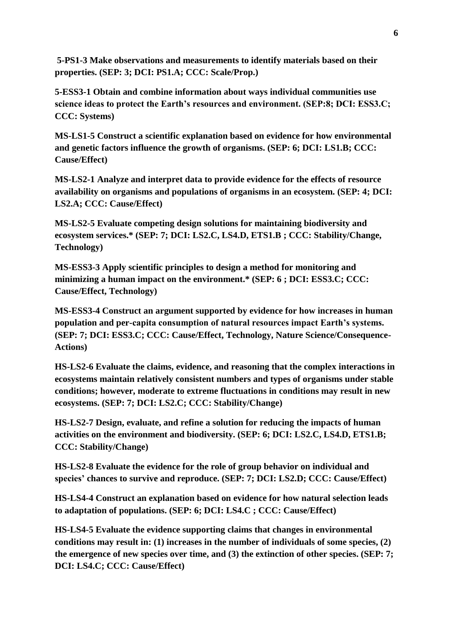**5-PS1-3 Make observations and measurements to identify materials based on their properties. (SEP: 3; DCI: PS1.A; CCC: Scale/Prop.)**

**5-ESS3-1 Obtain and combine information about ways individual communities use science ideas to protect the Earth's resources and environment. (SEP:8; DCI: ESS3.C; CCC: Systems)**

**MS-LS1-5 Construct a scientific explanation based on evidence for how environmental and genetic factors influence the growth of organisms. (SEP: 6; DCI: LS1.B; CCC: Cause/Effect)**

**MS-LS2-1 Analyze and interpret data to provide evidence for the effects of resource availability on organisms and populations of organisms in an ecosystem. (SEP: 4; DCI: LS2.A; CCC: Cause/Effect)**

**MS-LS2-5 Evaluate competing design solutions for maintaining biodiversity and ecosystem services.\* (SEP: 7; DCI: LS2.C, LS4.D, ETS1.B ; CCC: Stability/Change, Technology)**

**MS-ESS3-3 Apply scientific principles to design a method for monitoring and minimizing a human impact on the environment.\* (SEP: 6 ; DCI: ESS3.C; CCC: Cause/Effect, Technology)** 

**MS-ESS3-4 Construct an argument supported by evidence for how increases in human population and per-capita consumption of natural resources impact Earth's systems. (SEP: 7; DCI: ESS3.C; CCC: Cause/Effect, Technology, Nature Science/Consequence-Actions)**

**HS-LS2-6 Evaluate the claims, evidence, and reasoning that the complex interactions in ecosystems maintain relatively consistent numbers and types of organisms under stable conditions; however, moderate to extreme fluctuations in conditions may result in new ecosystems. (SEP: 7; DCI: LS2.C; CCC: Stability/Change)**

**HS-LS2-7 Design, evaluate, and refine a solution for reducing the impacts of human activities on the environment and biodiversity. (SEP: 6; DCI: LS2.C, LS4.D, ETS1.B; CCC: Stability/Change)**

**HS-LS2-8 Evaluate the evidence for the role of group behavior on individual and species' chances to survive and reproduce. (SEP: 7; DCI: LS2.D; CCC: Cause/Effect)**

**HS-LS4-4 Construct an explanation based on evidence for how natural selection leads to adaptation of populations. (SEP: 6; DCI: LS4.C ; CCC: Cause/Effect)**

**HS-LS4-5 Evaluate the evidence supporting claims that changes in environmental conditions may result in: (1) increases in the number of individuals of some species, (2) the emergence of new species over time, and (3) the extinction of other species. (SEP: 7; DCI: LS4.C; CCC: Cause/Effect)**